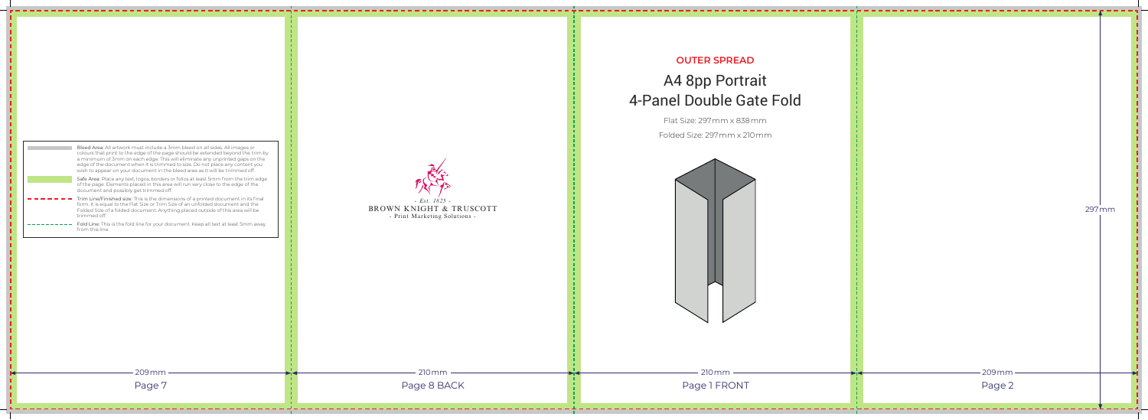## **OUTER SPREAD**

## A4 8pp Portrait 4-Panel Double Gate Fold

## *- Est. 1825 -* BROWN KNIGHT & TRUSCOTT - Print Marketing Solutions - 210mm 210mm Page 8 BACK Page 1 FRONT

Flat Size: 297mm x 838mm

Folded Size: 297mm x 210mm

| Bleed Area: All artwork must include a 3mm bleed on all sides. All images or<br>colours that print to the edge of the page should be extended beyond the trim by<br>a minimum of 3mm on each edge. This will eliminate any unprinted gaps on the<br>edge of the document when it is trimmed to size. Do not place any content you<br>wish to appear on your document in the bleed area as it will be trimmed off.<br>Safe Area: Place any text, logos, borders or folios at least 5mm from the trim edge<br>of the page. Elements placed in this area will run very close to the edge of the<br>document and possibly get trimmed off.<br>Trim Line/Finished size: This is the dimensions of a printed document in its final<br>form. It is equal to the Flat Size or Trim Size of an unfolded document and the<br>Folded Size of a folded document. Anything placed outside of this area will be<br>trimmed off.<br>Fold Line: This is the fold line for your document. Keep all text at least 5mm away<br>from this line. |  |
|-----------------------------------------------------------------------------------------------------------------------------------------------------------------------------------------------------------------------------------------------------------------------------------------------------------------------------------------------------------------------------------------------------------------------------------------------------------------------------------------------------------------------------------------------------------------------------------------------------------------------------------------------------------------------------------------------------------------------------------------------------------------------------------------------------------------------------------------------------------------------------------------------------------------------------------------------------------------------------------------------------------------------------|--|
|                                                                                                                                                                                                                                                                                                                                                                                                                                                                                                                                                                                                                                                                                                                                                                                                                                                                                                                                                                                                                             |  |
|                                                                                                                                                                                                                                                                                                                                                                                                                                                                                                                                                                                                                                                                                                                                                                                                                                                                                                                                                                                                                             |  |
|                                                                                                                                                                                                                                                                                                                                                                                                                                                                                                                                                                                                                                                                                                                                                                                                                                                                                                                                                                                                                             |  |
|                                                                                                                                                                                                                                                                                                                                                                                                                                                                                                                                                                                                                                                                                                                                                                                                                                                                                                                                                                                                                             |  |
|                                                                                                                                                                                                                                                                                                                                                                                                                                                                                                                                                                                                                                                                                                                                                                                                                                                                                                                                                                                                                             |  |
|                                                                                                                                                                                                                                                                                                                                                                                                                                                                                                                                                                                                                                                                                                                                                                                                                                                                                                                                                                                                                             |  |
|                                                                                                                                                                                                                                                                                                                                                                                                                                                                                                                                                                                                                                                                                                                                                                                                                                                                                                                                                                                                                             |  |
|                                                                                                                                                                                                                                                                                                                                                                                                                                                                                                                                                                                                                                                                                                                                                                                                                                                                                                                                                                                                                             |  |
|                                                                                                                                                                                                                                                                                                                                                                                                                                                                                                                                                                                                                                                                                                                                                                                                                                                                                                                                                                                                                             |  |
|                                                                                                                                                                                                                                                                                                                                                                                                                                                                                                                                                                                                                                                                                                                                                                                                                                                                                                                                                                                                                             |  |
|                                                                                                                                                                                                                                                                                                                                                                                                                                                                                                                                                                                                                                                                                                                                                                                                                                                                                                                                                                                                                             |  |
|                                                                                                                                                                                                                                                                                                                                                                                                                                                                                                                                                                                                                                                                                                                                                                                                                                                                                                                                                                                                                             |  |
|                                                                                                                                                                                                                                                                                                                                                                                                                                                                                                                                                                                                                                                                                                                                                                                                                                                                                                                                                                                                                             |  |
| $209$ mm                                                                                                                                                                                                                                                                                                                                                                                                                                                                                                                                                                                                                                                                                                                                                                                                                                                                                                                                                                                                                    |  |

Page 7